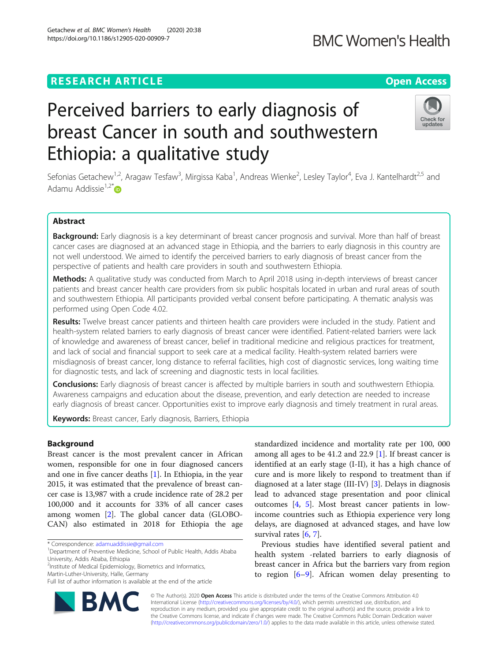## **RESEARCH ARTICLE Example 2014 12:30 The Contract of Contract ACCESS**

https://doi.org/10.1186/s12905-020-00909-7

Getachew et al. BMC Women's Health (2020) 20:38

# Perceived barriers to early diagnosis of breast Cancer in south and southwestern Ethiopia: a qualitative study

Sefonias Getachew<sup>1,2</sup>, Aragaw Tesfaw<sup>3</sup>, Mirgissa Kaba<sup>1</sup>, Andreas Wienke<sup>2</sup>, Lesley Taylor<sup>4</sup>, Eva J. Kantelhardt<sup>2,5</sup> and Adamu Addissie $1.2^{*}$  $1.2^{*}$  $1.2^{*}$ D

## Abstract

Background: Early diagnosis is a key determinant of breast cancer prognosis and survival. More than half of breast cancer cases are diagnosed at an advanced stage in Ethiopia, and the barriers to early diagnosis in this country are not well understood. We aimed to identify the perceived barriers to early diagnosis of breast cancer from the perspective of patients and health care providers in south and southwestern Ethiopia.

Methods: A qualitative study was conducted from March to April 2018 using in-depth interviews of breast cancer patients and breast cancer health care providers from six public hospitals located in urban and rural areas of south and southwestern Ethiopia. All participants provided verbal consent before participating. A thematic analysis was performed using Open Code 4.02.

Results: Twelve breast cancer patients and thirteen health care providers were included in the study. Patient and health-system related barriers to early diagnosis of breast cancer were identified. Patient-related barriers were lack of knowledge and awareness of breast cancer, belief in traditional medicine and religious practices for treatment, and lack of social and financial support to seek care at a medical facility. Health-system related barriers were misdiagnosis of breast cancer, long distance to referral facilities, high cost of diagnostic services, long waiting time for diagnostic tests, and lack of screening and diagnostic tests in local facilities.

Conclusions: Early diagnosis of breast cancer is affected by multiple barriers in south and southwestern Ethiopia. Awareness campaigns and education about the disease, prevention, and early detection are needed to increase early diagnosis of breast cancer. Opportunities exist to improve early diagnosis and timely treatment in rural areas.

Keywords: Breast cancer, Early diagnosis, Barriers, Ethiopia

## Background

Breast cancer is the most prevalent cancer in African women, responsible for one in four diagnosed cancers and one in five cancer deaths [[1\]](#page-7-0). In Ethiopia, in the year 2015, it was estimated that the prevalence of breast cancer case is 13,987 with a crude incidence rate of 28.2 per 100,000 and it accounts for 33% of all cancer cases among women [\[2](#page-7-0)]. The global cancer data (GLOBO-CAN) also estimated in 2018 for Ethiopia the age

\* Correspondence: [adamuaddissie@gmail.com](mailto:adamuaddissie@gmail.com) <sup>1</sup>

<sup>1</sup>Department of Preventive Medicine, School of Public Health, Addis Ababa University, Addis Ababa, Ethiopia

<sup>2</sup>Institute of Medical Epidemiology, Biometrics and Informatics,

Martin-Luther-University, Halle, Germany

Full list of author information is available at the end of the article

© The Author(s). 2020 **Open Access** This article is distributed under the terms of the Creative Commons Attribution 4.0 International License [\(http://creativecommons.org/licenses/by/4.0/](http://creativecommons.org/licenses/by/4.0/)), which permits unrestricted use, distribution, and reproduction in any medium, provided you give appropriate credit to the original author(s) and the source, provide a link to the Creative Commons license, and indicate if changes were made. The Creative Commons Public Domain Dedication waiver [\(http://creativecommons.org/publicdomain/zero/1.0/](http://creativecommons.org/publicdomain/zero/1.0/)) applies to the data made available in this article, unless otherwise stated.

standardized incidence and mortality rate per 100, 000 among all ages to be 41.2 and 22.9 [[1\]](#page-7-0). If breast cancer is identified at an early stage (I-II), it has a high chance of cure and is more likely to respond to treatment than if diagnosed at a later stage (III-IV) [\[3](#page-7-0)]. Delays in diagnosis lead to advanced stage presentation and poor clinical outcomes [[4,](#page-7-0) [5](#page-7-0)]. Most breast cancer patients in lowincome countries such as Ethiopia experience very long delays, are diagnosed at advanced stages, and have low survival rates [\[6](#page-7-0), [7](#page-7-0)].

Previous studies have identified several patient and health system -related barriers to early diagnosis of breast cancer in Africa but the barriers vary from region to region  $[6-9]$  $[6-9]$  $[6-9]$  $[6-9]$ . African women delay presenting to

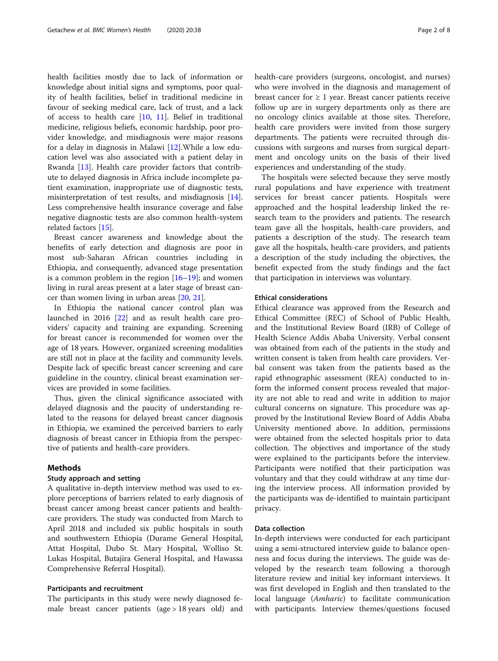health facilities mostly due to lack of information or knowledge about initial signs and symptoms, poor quality of health facilities, belief in traditional medicine in favour of seeking medical care, lack of trust, and a lack of access to health care [[10](#page-7-0), [11\]](#page-7-0). Belief in traditional medicine, religious beliefs, economic hardship, poor provider knowledge, and misdiagnosis were major reasons for a delay in diagnosis in Malawi [\[12](#page-7-0)].While a low education level was also associated with a patient delay in Rwanda [\[13](#page-7-0)]. Health care provider factors that contribute to delayed diagnosis in Africa include incomplete patient examination, inappropriate use of diagnostic tests, misinterpretation of test results, and misdiagnosis [\[14](#page-7-0)]. Less comprehensive health insurance coverage and false negative diagnostic tests are also common health-system related factors [[15\]](#page-7-0).

Breast cancer awareness and knowledge about the benefits of early detection and diagnosis are poor in most sub-Saharan African countries including in Ethiopia, and consequently, advanced stage presentation is a common problem in the region  $[16–19]$  $[16–19]$  $[16–19]$  $[16–19]$  $[16–19]$ ; and women living in rural areas present at a later stage of breast cancer than women living in urban areas [\[20,](#page-7-0) [21\]](#page-7-0).

In Ethiopia the national cancer control plan was launched in 2016 [\[22](#page-7-0)] and as result health care providers' capacity and training are expanding. Screening for breast cancer is recommended for women over the age of 18 years. However, organized screening modalities are still not in place at the facility and community levels. Despite lack of specific breast cancer screening and care guideline in the country, clinical breast examination services are provided in some facilities.

Thus, given the clinical significance associated with delayed diagnosis and the paucity of understanding related to the reasons for delayed breast cancer diagnosis in Ethiopia, we examined the perceived barriers to early diagnosis of breast cancer in Ethiopia from the perspective of patients and health-care providers.

## Methods

## Study approach and setting

A qualitative in-depth interview method was used to explore perceptions of barriers related to early diagnosis of breast cancer among breast cancer patients and healthcare providers. The study was conducted from March to April 2018 and included six public hospitals in south and southwestern Ethiopia (Durame General Hospital, Attat Hospital, Dubo St. Mary Hospital, Wolliso St. Lukas Hospital, Butajira General Hospital, and Hawassa Comprehensive Referral Hospital).

## Participants and recruitment

The participants in this study were newly diagnosed female breast cancer patients (age > 18 years old) and health-care providers (surgeons, oncologist, and nurses) who were involved in the diagnosis and management of breast cancer for  $\geq 1$  year. Breast cancer patients receive follow up are in surgery departments only as there are no oncology clinics available at those sites. Therefore, health care providers were invited from those surgery departments. The patients were recruited through discussions with surgeons and nurses from surgical department and oncology units on the basis of their lived experiences and understanding of the study.

The hospitals were selected because they serve mostly rural populations and have experience with treatment services for breast cancer patients. Hospitals were approached and the hospital leadership linked the research team to the providers and patients. The research team gave all the hospitals, health-care providers, and patients a description of the study. The research team gave all the hospitals, health-care providers, and patients a description of the study including the objectives, the benefit expected from the study findings and the fact that participation in interviews was voluntary.

## Ethical considerations

Ethical clearance was approved from the Research and Ethical Committee (REC) of School of Public Health, and the Institutional Review Board (IRB) of College of Health Science Addis Ababa University. Verbal consent was obtained from each of the patients in the study and written consent is taken from health care providers. Verbal consent was taken from the patients based as the rapid ethnographic assessment (REA) conducted to inform the informed consent process revealed that majority are not able to read and write in addition to major cultural concerns on signature. This procedure was approved by the Institutional Review Board of Addis Ababa University mentioned above. In addition, permissions were obtained from the selected hospitals prior to data collection. The objectives and importance of the study were explained to the participants before the interview. Participants were notified that their participation was voluntary and that they could withdraw at any time during the interview process. All information provided by the participants was de-identified to maintain participant privacy.

## Data collection

In-depth interviews were conducted for each participant using a semi-structured interview guide to balance openness and focus during the interviews. The guide was developed by the research team following a thorough literature review and initial key informant interviews. It was first developed in English and then translated to the local language (Amharic) to facilitate communication with participants. Interview themes/questions focused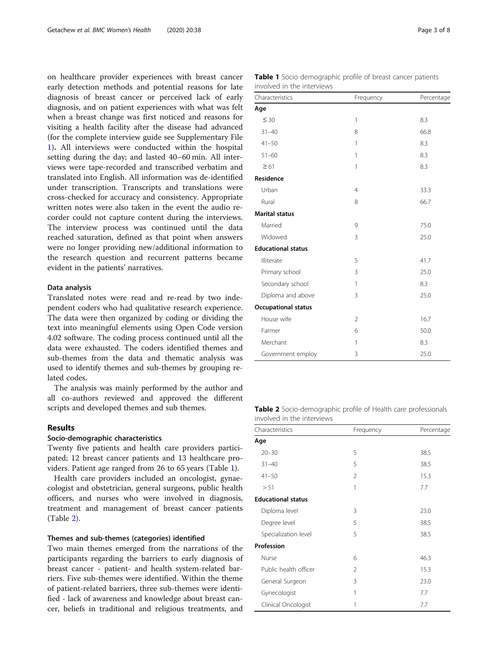on healthcare provider experiences with breast cancer early detection methods and potential reasons for late diagnosis of breast cancer or perceived lack of early diagnosis, and on patient experiences with what was felt when a breast change was first noticed and reasons for visiting a health facility after the disease had advanced (for the complete interview guide see Supplementary File [1\)](#page-6-0). All interviews were conducted within the hospital setting during the day; and lasted 40–60 min. All interviews were tape-recorded and transcribed verbatim and translated into English. All information was de-identified under transcription. Transcripts and translations were cross-checked for accuracy and consistency. Appropriate written notes were also taken in the event the audio recorder could not capture content during the interviews. The interview process was continued until the data reached saturation, defined as that point when answers were no longer providing new/additional information to the research question and recurrent patterns became evident in the patients' narratives.

## Data analysis

Translated notes were read and re-read by two independent coders who had qualitative research experience. The data were then organized by coding or dividing the text into meaningful elements using Open Code version 4.02 software. The coding process continued until all the data were exhausted. The coders identified themes and sub-themes from the data and thematic analysis was used to identify themes and sub-themes by grouping related codes.

The analysis was mainly performed by the author and all co-authors reviewed and approved the different scripts and developed themes and sub themes.

## Results

## Socio-demographic characteristics

Twenty five patients and health care providers participated; 12 breast cancer patients and 13 healthcare providers. Patient age ranged from 26 to 65 years (Table 1).

Health care providers included an oncologist, gynaecologist and obstetrician, general surgeons, public health officers, and nurses who were involved in diagnosis, treatment and management of breast cancer patients (Table 2).

## Themes and sub-themes (categories) identified

Two main themes emerged from the narrations of the participants regarding the barriers to early diagnosis of breast cancer - patient- and health system-related barriers. Five sub-themes were identified. Within the theme of patient-related barriers, three sub-themes were identified - lack of awareness and knowledge about breast cancer, beliefs in traditional and religious treatments, and

|  | Table 1 Socio demographic profile of breast cancer patients |  |  |  |
|--|-------------------------------------------------------------|--|--|--|
|  | involved in the interviews                                  |  |  |  |

| Characteristics            | Frequency      | Percentage |
|----------------------------|----------------|------------|
| Age                        |                |            |
| $\leq 30$                  | 1              | 8.3        |
| $31 - 40$                  | 8              | 66.8       |
| $41 - 50$                  | $\mathbf{1}$   | 8.3        |
| $51 - 60$                  | $\mathbf{1}$   | 8.3        |
| $\geq 61$                  | 1              | 8.3        |
| Residence                  |                |            |
| Urban                      | $\overline{4}$ | 33.3       |
| Rural                      | 8              | 66.7       |
| <b>Marital status</b>      |                |            |
| Married                    | 9              | 75.0       |
| Widowed                    | 3              | 25.0       |
| <b>Educational status</b>  |                |            |
| Illiterate                 | 5              | 41.7       |
| Primary school             | 3              | 25.0       |
| Secondary school           | 1              | 8.3        |
| Diploma and above          | 3              | 25.0       |
| <b>Occupational status</b> |                |            |
| House wife                 | $\overline{2}$ | 16.7       |
| Farmer                     | 6              | 50.0       |
| Merchant                   | $\mathbf{1}$   | 8.3        |
| Government employ          | 3              | 25.0       |

Table 2 Socio-demographic profile of Health care professionals involved in the interviews

| Characteristics           | Frequency                | Percentage |  |
|---------------------------|--------------------------|------------|--|
| Age                       |                          |            |  |
| $20 - 30$                 | 5                        | 38.5       |  |
| $31 - 40$                 | 5                        | 38.5       |  |
| $41 - 50$                 | $\overline{\phantom{a}}$ | 15.3       |  |
| > 51                      | 1                        | 7.7        |  |
| <b>Educational status</b> |                          |            |  |
| Diploma level             | 3                        | 23.0       |  |
| Degree level              | 5                        | 38.5       |  |
| Specialization level      | 5                        | 38.5       |  |
| Profession                |                          |            |  |
| Nurse                     | 6                        | 46.3       |  |
| Public health officer     | $\overline{2}$           | 15.3       |  |
| General Surgeon           | 3                        | 23.0       |  |
| Gynecologist              | 1                        | 7.7        |  |
| Clinical Oncologist       | 1                        | 7.7        |  |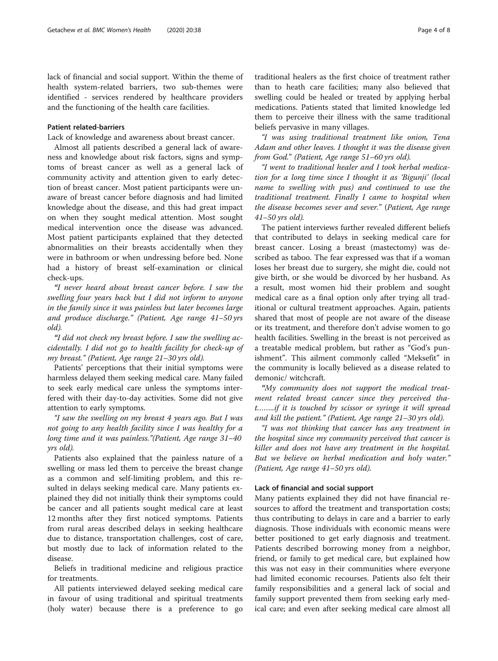lack of financial and social support. Within the theme of health system-related barriers, two sub-themes were identified - services rendered by healthcare providers and the functioning of the health care facilities.

## Patient related-barriers

Lack of knowledge and awareness about breast cancer.

Almost all patients described a general lack of awareness and knowledge about risk factors, signs and symptoms of breast cancer as well as a general lack of community activity and attention given to early detection of breast cancer. Most patient participants were unaware of breast cancer before diagnosis and had limited knowledge about the disease, and this had great impact on when they sought medical attention. Most sought medical intervention once the disease was advanced. Most patient participants explained that they detected abnormalities on their breasts accidentally when they were in bathroom or when undressing before bed. None had a history of breast self-examination or clinical check-ups.

"I never heard about breast cancer before. I saw the swelling four years back but I did not inform to anyone in the family since it was painless but later becomes large and produce discharge." (Patient, Age range 41–50 yrs old).

"I did not check my breast before. I saw the swelling accidentally. I did not go to health facility for check-up of my breast." (Patient, Age range 21–30 yrs old).

Patients' perceptions that their initial symptoms were harmless delayed them seeking medical care. Many failed to seek early medical care unless the symptoms interfered with their day-to-day activities. Some did not give attention to early symptoms.

"I saw the swelling on my breast 4 years ago. But I was not going to any health facility since I was healthy for a long time and it was painless."(Patient, Age range 31–40 yrs old).

Patients also explained that the painless nature of a swelling or mass led them to perceive the breast change as a common and self-limiting problem, and this resulted in delays seeking medical care. Many patients explained they did not initially think their symptoms could be cancer and all patients sought medical care at least 12 months after they first noticed symptoms. Patients from rural areas described delays in seeking healthcare due to distance, transportation challenges, cost of care, but mostly due to lack of information related to the disease.

Beliefs in traditional medicine and religious practice for treatments.

All patients interviewed delayed seeking medical care in favour of using traditional and spiritual treatments (holy water) because there is a preference to go

traditional healers as the first choice of treatment rather than to heath care facilities; many also believed that swelling could be healed or treated by applying herbal medications. Patients stated that limited knowledge led them to perceive their illness with the same traditional beliefs pervasive in many villages.

"I was using traditional treatment like onion, Tena Adam and other leaves. I thought it was the disease given from God." (Patient, Age range 51–60 yrs old).

"I went to traditional healer and I took herbal medication for a long time since I thought it as 'Bigunji' (local name to swelling with pus) and continued to use the traditional treatment. Finally I came to hospital when the disease becomes sever and sever." (Patient, Age range 41–50 yrs old).

The patient interviews further revealed different beliefs that contributed to delays in seeking medical care for breast cancer. Losing a breast (mastectomy) was described as taboo. The fear expressed was that if a woman loses her breast due to surgery, she might die, could not give birth, or she would be divorced by her husband. As a result, most women hid their problem and sought medical care as a final option only after trying all traditional or cultural treatment approaches. Again, patients shared that most of people are not aware of the disease or its treatment, and therefore don't advise women to go health facilities. Swelling in the breast is not perceived as a treatable medical problem, but rather as "God's punishment". This ailment commonly called "Meksefit" in the community is locally believed as a disease related to demonic/ witchcraft.

"My community does not support the medical treatment related breast cancer since they perceived that……..if it is touched by scissor or syringe it will spread and kill the patient." (Patient, Age range 21–30 yrs old).

"I was not thinking that cancer has any treatment in the hospital since my community perceived that cancer is killer and does not have any treatment in the hospital. But we believe on herbal medication and holy water." (Patient, Age range 41–50 yrs old).

## Lack of financial and social support

Many patients explained they did not have financial resources to afford the treatment and transportation costs; thus contributing to delays in care and a barrier to early diagnosis. Those individuals with economic means were better positioned to get early diagnosis and treatment. Patients described borrowing money from a neighbor, friend, or family to get medical care, but explained how this was not easy in their communities where everyone had limited economic recourses. Patients also felt their family responsibilities and a general lack of social and family support prevented them from seeking early medical care; and even after seeking medical care almost all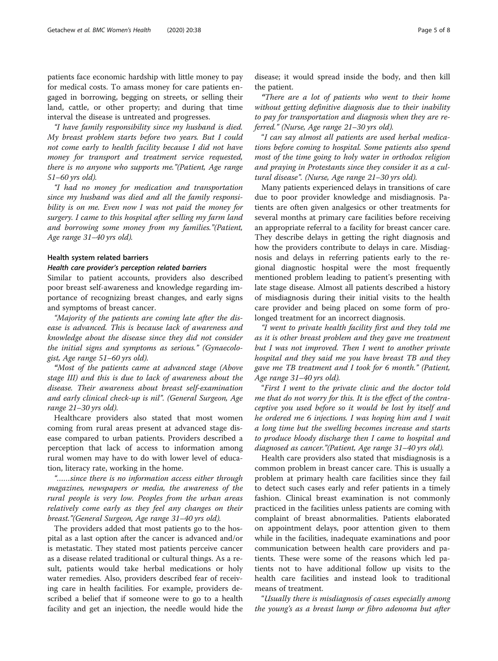patients face economic hardship with little money to pay for medical costs. To amass money for care patients engaged in borrowing, begging on streets, or selling their land, cattle, or other property; and during that time interval the disease is untreated and progresses.

"I have family responsibility since my husband is died. My breast problem starts before two years. But I could not come early to health facility because I did not have money for transport and treatment service requested, there is no anyone who supports me."(Patient, Age range 51–60 yrs old).

"I had no money for medication and transportation since my husband was died and all the family responsibility is on me. Even now I was not paid the money for surgery. I came to this hospital after selling my farm land and borrowing some money from my families."(Patient, Age range 31–40 yrs old).

## Health system related barriers

## Health care provider's perception related barriers

Similar to patient accounts, providers also described poor breast self-awareness and knowledge regarding importance of recognizing breast changes, and early signs and symptoms of breast cancer.

"Majority of the patients are coming late after the disease is advanced. This is because lack of awareness and knowledge about the disease since they did not consider the initial signs and symptoms as serious." (Gynaecologist, Age range 51–60 yrs old).

"Most of the patients came at advanced stage (Above stage III) and this is due to lack of awareness about the disease. Their awareness about breast self-examination and early clinical check-up is nil". (General Surgeon, Age range 21–30 yrs old).

Healthcare providers also stated that most women coming from rural areas present at advanced stage disease compared to urban patients. Providers described a perception that lack of access to information among rural women may have to do with lower level of education, literacy rate, working in the home.

"……since there is no information access either through magazines, newspapers or media, the awareness of the rural people is very low. Peoples from the urban areas relatively come early as they feel any changes on their breast."(General Surgeon, Age range 31–40 yrs old).

The providers added that most patients go to the hospital as a last option after the cancer is advanced and/or is metastatic. They stated most patients perceive cancer as a disease related traditional or cultural things. As a result, patients would take herbal medications or holy water remedies. Also, providers described fear of receiving care in health facilities. For example, providers described a belief that if someone were to go to a health facility and get an injection, the needle would hide the disease; it would spread inside the body, and then kill the patient.

"There are a lot of patients who went to their home without getting definitive diagnosis due to their inability to pay for transportation and diagnosis when they are referred." (Nurse, Age range 21–30 yrs old).

"I can say almost all patients are used herbal medications before coming to hospital. Some patients also spend most of the time going to holy water in orthodox religion and praying in Protestants since they consider it as a cultural disease". (Nurse, Age range 21–30 yrs old).

Many patients experienced delays in transitions of care due to poor provider knowledge and misdiagnosis. Patients are often given analgesics or other treatments for several months at primary care facilities before receiving an appropriate referral to a facility for breast cancer care. They describe delays in getting the right diagnosis and how the providers contribute to delays in care. Misdiagnosis and delays in referring patients early to the regional diagnostic hospital were the most frequently mentioned problem leading to patient's presenting with late stage disease. Almost all patients described a history of misdiagnosis during their initial visits to the health care provider and being placed on some form of prolonged treatment for an incorrect diagnosis.

"I went to private health facility first and they told me as it is other breast problem and they gave me treatment but I was not improved. Then I went to another private hospital and they said me you have breast TB and they gave me TB treatment and I took for 6 month." (Patient, Age range 31–40 yrs old).

"First I went to the private clinic and the doctor told me that do not worry for this. It is the effect of the contraceptive you used before so it would be lost by itself and he ordered me 6 injections. I was hoping him and I wait a long time but the swelling becomes increase and starts to produce bloody discharge then I came to hospital and diagnosed as cancer."(Patient, Age range 31–40 yrs old).

Health care providers also stated that misdiagnosis is a common problem in breast cancer care. This is usually a problem at primary health care facilities since they fail to detect such cases early and refer patients in a timely fashion. Clinical breast examination is not commonly practiced in the facilities unless patients are coming with complaint of breast abnormalities. Patients elaborated on appointment delays, poor attention given to them while in the facilities, inadequate examinations and poor communication between health care providers and patients. These were some of the reasons which led patients not to have additional follow up visits to the health care facilities and instead look to traditional means of treatment.

"Usually there is misdiagnosis of cases especially among the young's as a breast lump or fibro adenoma but after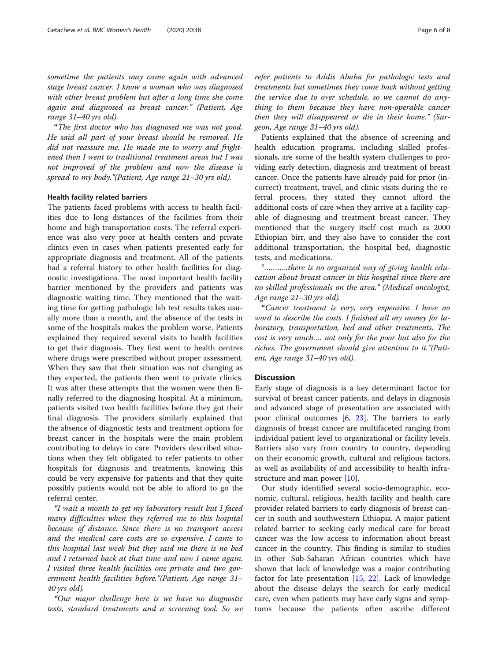sometime the patients may came again with advanced stage breast cancer. I know a woman who was diagnosed with other breast problem but after a long time she come again and diagnosed as breast cancer." (Patient, Age range 31–40 yrs old).

"The first doctor who has diagnosed me was not good. He said all part of your breast should be removed. He did not reassure me. He made me to worry and frightened then I went to traditional treatment areas but I was not improved of the problem and now the disease is spread to my body."(Patient, Age range 21–30 yrs old).

## Health facility related barriers

The patients faced problems with access to health facilities due to long distances of the facilities from their home and high transportation costs. The referral experience was also very poor at health centers and private clinics even in cases when patients presented early for appropriate diagnosis and treatment. All of the patients had a referral history to other health facilities for diagnostic investigations. The most important health facility barrier mentioned by the providers and patients was diagnostic waiting time. They mentioned that the waiting time for getting pathologic lab test results takes usually more than a month, and the absence of the tests in some of the hospitals makes the problem worse. Patients explained they required several visits to health facilities to get their diagnosis. They first went to health centres where drugs were prescribed without proper assessment. When they saw that their situation was not changing as they expected, the patients then went to private clinics. It was after these attempts that the women were then finally referred to the diagnosing hospital. At a minimum, patients visited two health facilities before they got their final diagnosis. The providers similarly explained that the absence of diagnostic tests and treatment options for breast cancer in the hospitals were the main problem contributing to delays in care. Providers described situations when they felt obligated to refer patients to other hospitals for diagnosis and treatments, knowing this could be very expensive for patients and that they quite possibly patients would not be able to afford to go the referral center.

"I wait a month to get my laboratory result but I faced many difficulties when they referred me to this hospital because of distance. Since there is no transport access and the medical care costs are so expensive. I came to this hospital last week but they said me there is no bed and I returned back at that time and now I came again. I visited three health facilities one private and two government health facilities before."(Patient, Age range 31– 40 yrs old).

"Our major challenge here is we have no diagnostic tests, standard treatments and a screening tool. So we refer patients to Addis Ababa for pathologic tests and treatments but sometimes they come back without getting the service due to over schedule, so we cannot do anything to them because they have non-operable cancer then they will disappeared or die in their home." (Surgeon, Age range 31–40 yrs old).

Patients explained that the absence of screening and health education programs, including skilled professionals, are some of the health system challenges to providing early detection, diagnosis and treatment of breast cancer. Once the patients have already paid for prior (incorrect) treatment, travel, and clinic visits during the referral process, they stated they cannot afford the additional costs of care when they arrive at a facility capable of diagnosing and treatment breast cancer. They mentioned that the surgery itself cost much as 2000 Ethiopian birr, and they also have to consider the cost additional transportation, the hospital bed, diagnostic tests, and medications.

"………..there is no organized way of giving health education about breast cancer in this hospital since there are no skilled professionals on the area." (Medical oncologist, Age range 21–30 yrs old).

"Cancer treatment is very, very expensive. I have no word to describe the costs. I finished all my money for laboratory, transportation, bed and other treatments. The cost is very much…. not only for the poor but also for the riches. The government should give attention to it."(Patient, Age range 31–40 yrs old).

## Discussion

Early stage of diagnosis is a key determinant factor for survival of breast cancer patients, and delays in diagnosis and advanced stage of presentation are associated with poor clinical outcomes  $[6, 23]$  $[6, 23]$  $[6, 23]$  $[6, 23]$ . The barriers to early diagnosis of breast cancer are multifaceted ranging from individual patient level to organizational or facility levels. Barriers also vary from country to country, depending on their economic growth, cultural and religious factors, as well as availability of and accessibility to health infrastructure and man power [[10\]](#page-7-0).

Our study identified several socio-demographic, economic, cultural, religious, health facility and health care provider related barriers to early diagnosis of breast cancer in south and southwestern Ethiopia. A major patient related barrier to seeking early medical care for breast cancer was the low access to information about breast cancer in the country. This finding is similar to studies in other Sub-Saharan African countries which have shown that lack of knowledge was a major contributing factor for late presentation [[15](#page-7-0), [22](#page-7-0)]. Lack of knowledge about the disease delays the search for early medical care, even when patients may have early signs and symptoms because the patients often ascribe different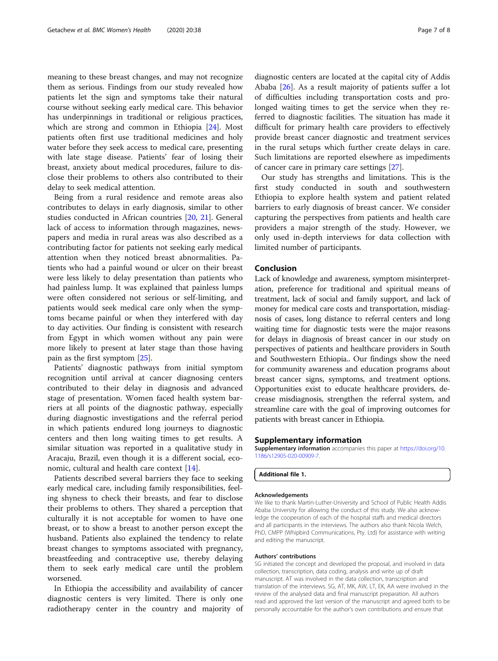<span id="page-6-0"></span>meaning to these breast changes, and may not recognize them as serious. Findings from our study revealed how patients let the sign and symptoms take their natural course without seeking early medical care. This behavior has underpinnings in traditional or religious practices, which are strong and common in Ethiopia [\[24](#page-7-0)]. Most patients often first use traditional medicines and holy water before they seek access to medical care, presenting with late stage disease. Patients' fear of losing their breast, anxiety about medical procedures, failure to disclose their problems to others also contributed to their delay to seek medical attention.

Being from a rural residence and remote areas also contributes to delays in early diagnosis, similar to other studies conducted in African countries [\[20](#page-7-0), [21\]](#page-7-0). General lack of access to information through magazines, newspapers and media in rural areas was also described as a contributing factor for patients not seeking early medical attention when they noticed breast abnormalities. Patients who had a painful wound or ulcer on their breast were less likely to delay presentation than patients who had painless lump. It was explained that painless lumps were often considered not serious or self-limiting, and patients would seek medical care only when the symptoms became painful or when they interfered with day to day activities. Our finding is consistent with research from Egypt in which women without any pain were more likely to present at later stage than those having pain as the first symptom [\[25](#page-7-0)].

Patients' diagnostic pathways from initial symptom recognition until arrival at cancer diagnosing centers contributed to their delay in diagnosis and advanced stage of presentation. Women faced health system barriers at all points of the diagnostic pathway, especially during diagnostic investigations and the referral period in which patients endured long journeys to diagnostic centers and then long waiting times to get results. A similar situation was reported in a qualitative study in Aracaju, Brazil, even though it is a different social, economic, cultural and health care context [\[14](#page-7-0)].

Patients described several barriers they face to seeking early medical care, including family responsibilities, feeling shyness to check their breasts, and fear to disclose their problems to others. They shared a perception that culturally it is not acceptable for women to have one breast, or to show a breast to another person except the husband. Patients also explained the tendency to relate breast changes to symptoms associated with pregnancy, breastfeeding and contraceptive use, thereby delaying them to seek early medical care until the problem worsened.

In Ethiopia the accessibility and availability of cancer diagnostic centers is very limited. There is only one radiotherapy center in the country and majority of

diagnostic centers are located at the capital city of Addis Ababa [[26\]](#page-7-0). As a result majority of patients suffer a lot of difficulties including transportation costs and prolonged waiting times to get the service when they referred to diagnostic facilities. The situation has made it difficult for primary health care providers to effectively provide breast cancer diagnostic and treatment services in the rural setups which further create delays in care. Such limitations are reported elsewhere as impediments of cancer care in primary care settings [[27\]](#page-7-0).

Our study has strengths and limitations. This is the first study conducted in south and southwestern Ethiopia to explore health system and patient related barriers to early diagnosis of breast cancer. We consider capturing the perspectives from patients and health care providers a major strength of the study. However, we only used in-depth interviews for data collection with limited number of participants.

## Conclusion

Lack of knowledge and awareness, symptom misinterpretation, preference for traditional and spiritual means of treatment, lack of social and family support, and lack of money for medical care costs and transportation, misdiagnosis of cases, long distance to referral centers and long waiting time for diagnostic tests were the major reasons for delays in diagnosis of breast cancer in our study on perspectives of patients and healthcare providers in South and Southwestern Ethiopia.. Our findings show the need for community awareness and education programs about breast cancer signs, symptoms, and treatment options. Opportunities exist to educate healthcare providers, decrease misdiagnosis, strengthen the referral system, and streamline care with the goal of improving outcomes for patients with breast cancer in Ethiopia.

#### Supplementary information

Supplementary information accompanies this paper at [https://doi.org/10.](https://doi.org/10.1186/s12905-020-00909-7) [1186/s12905-020-00909-7](https://doi.org/10.1186/s12905-020-00909-7).

## Additional file 1.

### Acknowledgements

We like to thank Martin-Luther-University and School of Public Health Addis Ababa University for allowing the conduct of this study. We also acknowledge the cooperation of each of the hospital staffs and medical directors and all participants in the interviews. The authors also thank Nicola Welch, PhD, CMPP (Whipbird Communications, Pty. Ltd) for assistance with writing and editing the manuscript.

#### Authors' contributions

SG initiated the concept and developed the proposal, and involved in data collection, transcription, data coding, analysis and write up of draft manuscript. AT was involved in the data collection, transcription and translation of the interviews. SG, AT, MK, AW, LT, EK, AA were involved in the review of the analysed data and final manuscript preparation. All authors read and approved the last version of the manuscript and agreed both to be personally accountable for the author's own contributions and ensure that